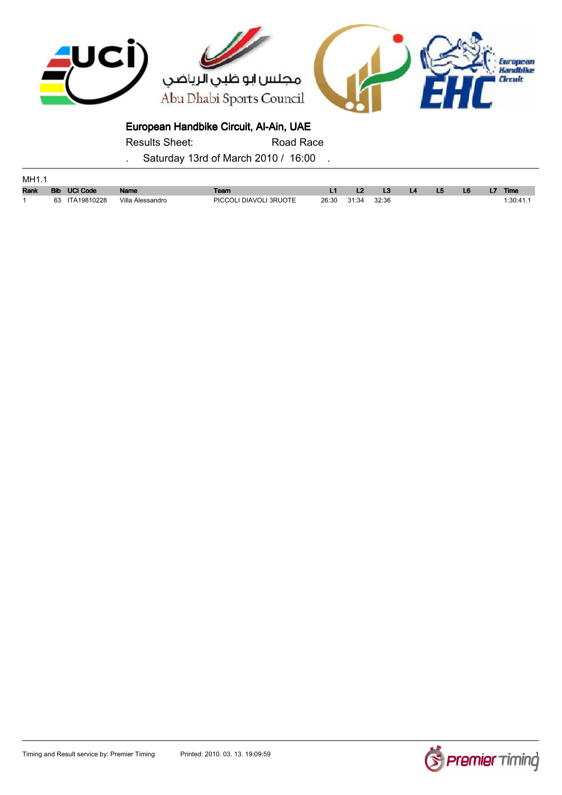

Results Sheet: Road Race

| MH1.1       |  |                |                  |                        |             |  |                 |           |                |    |    |             |
|-------------|--|----------------|------------------|------------------------|-------------|--|-----------------|-----------|----------------|----|----|-------------|
| <b>Rank</b> |  | Bib UCI Code   | <b>Name</b>      | Team                   |             |  | $\overline{13}$ | <b>L4</b> | L <sub>5</sub> | L6 | L7 | <b>Time</b> |
|             |  | 63 ITA19810228 | Villa Alessandro | PICCOLI DIAVOLI 3RUOTE | 26:30 31:34 |  | 32:36           |           |                |    |    | :30:41      |

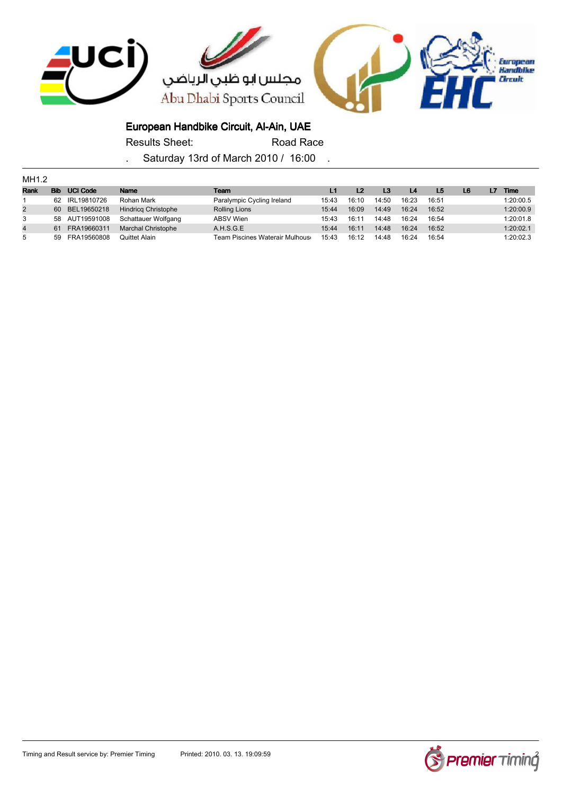

Results Sheet: Road Race

| MH1.2          |            |                 |                            |                                 |       |                |                |       |       |                |    |           |
|----------------|------------|-----------------|----------------------------|---------------------------------|-------|----------------|----------------|-------|-------|----------------|----|-----------|
| Rank           | <b>Bib</b> | <b>UCI Code</b> | <b>Name</b>                | Team                            |       | L <sub>2</sub> | L <sub>3</sub> | L4    | L5    | L <sub>6</sub> | L7 | Time      |
|                | 62.        | IRL19810726     | Rohan Mark                 | Paralympic Cycling Ireland      | 15:43 | 16:10          | 14:50          | 16:23 | 16:51 |                |    | 1:20:00.5 |
| $\overline{2}$ | 60         | BEL19650218     | <b>Hindrica Christophe</b> | <b>Rolling Lions</b>            | 15:44 | 16:09          | 14:49          | 16:24 | 16:52 |                |    | 1:20:00.9 |
| 3              |            | 58 AUT19591008  | Schattauer Wolfgang        | <b>ABSV Wien</b>                | 15:43 | 16:11          | 14:48          | 16:24 | 16:54 |                |    | 1:20:01.8 |
| $\overline{4}$ | 61         | FRA19660311     | Marchal Christophe         | A.H.S.G.E                       | 15:44 | 16:11          | 14:48          | 16:24 | 16:52 |                |    | 1:20:02.1 |
| 5              | 59.        | FRA19560808     | Quittet Alain              | Team Piscines Waterair Mulhouso | 15:43 | 16:12          | 14:48          | 16:24 | 16:54 |                |    | 1:20:02.3 |

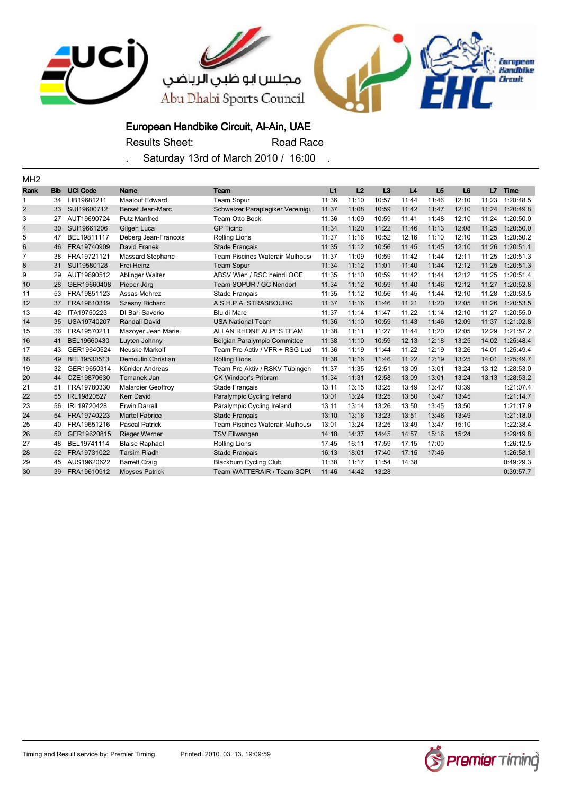

Results Sheet: Road Race

| MH <sub>2</sub> |            |                 |                           |                                     |       |       |       |       |       |                |       |             |
|-----------------|------------|-----------------|---------------------------|-------------------------------------|-------|-------|-------|-------|-------|----------------|-------|-------------|
| <b>Rank</b>     | <b>Bib</b> | <b>UCI Code</b> | <b>Name</b>               | Team                                | L1    | L2    | L3    | L4    | L5    | L <sub>6</sub> | L7    | <b>Time</b> |
| 1               | 34         | LIB19681211     | <b>Maalouf Edward</b>     | <b>Team Sopur</b>                   | 11:36 | 11:10 | 10:57 | 11:44 | 11:46 | 12:10          | 11:23 | 1:20:48.5   |
| 2               | 33         | SUI19600712     | <b>Berset Jean-Marc</b>   | Schweizer Paraplegiker Vereinigu    | 11:37 | 11:08 | 10:59 | 11:42 | 11:47 | 12:10          | 11:24 | 1:20:49.8   |
| 3               | 27         | AUT19690724     | <b>Putz Manfred</b>       | Team Otto Bock                      | 11:36 | 11:09 | 10:59 | 11:41 | 11:48 | 12:10          | 11:24 | 1:20:50.0   |
| 4               | 30         | SUI19661206     | Gilgen Luca               | <b>GP Ticino</b>                    | 11:34 | 11:20 | 11:22 | 11:46 | 11:13 | 12:08          | 11:25 | 1:20:50.0   |
| 5               | 47         | BEL19811117     | Deberg Jean-Francois      | <b>Rolling Lions</b>                | 11:37 | 11:16 | 10:52 | 12:16 | 11:10 | 12:10          | 11:25 | 1:20:50.2   |
| 6               | 46         | FRA19740909     | David Franek              | <b>Stade Français</b>               | 11:35 | 11:12 | 10:56 | 11:45 | 11:45 | 12:10          | 11:26 | 1:20:51.1   |
| $\overline{7}$  | 38         | FRA19721121     | <b>Massard Stephane</b>   | Team Piscines Waterair Mulhous      | 11:37 | 11:09 | 10:59 | 11:42 | 11:44 | 12:11          | 11:25 | 1:20:51.3   |
| 8               | 31         | SUI19580128     | Frei Heinz                | <b>Team Sopur</b>                   | 11:34 | 11:12 | 11:01 | 11:40 | 11:44 | 12:12          | 11:25 | 1:20:51.3   |
| 9               | 29         | AUT19690512     | Ablinger Walter           | ABSV Wien / RSC heindl OOE          | 11:35 | 11:10 | 10:59 | 11:42 | 11:44 | 12:12          | 11:25 | 1:20:51.4   |
| 10              | 28         | GER19660408     | Pieper Jörg               | Team SOPUR / GC Nendorf             | 11:34 | 11:12 | 10:59 | 11:40 | 11:46 | 12:12          | 11:27 | 1:20:52.8   |
| 11              | 53         | FRA19851123     | Assas Mehrez              | Stade Français                      | 11:35 | 11:12 | 10:56 | 11:45 | 11:44 | 12:10          | 11:28 | 1:20:53.5   |
| 12              | 37         | FRA19610319     | <b>Szesny Richard</b>     | A.S.H.P.A. STRASBOURG               | 11:37 | 11:16 | 11:46 | 11:21 | 11:20 | 12:05          | 11:26 | 1:20:53.5   |
| 13              | 42         | ITA19750223     | DI Bari Saverio           | Blu di Mare                         | 11:37 | 11:14 | 11:47 | 11:22 | 11:14 | 12:10          | 11:27 | 1:20:55.0   |
| 14              | 35         | USA19740207     | <b>Randall David</b>      | <b>USA National Team</b>            | 11:36 | 11:10 | 10:59 | 11:43 | 11:46 | 12:09          | 11:37 | 1:21:02.8   |
| 15              | 36         | FRA19570211     | Mazoyer Jean Marie        | <b>ALLAN RHONE ALPES TEAM</b>       | 11:38 | 11:11 | 11:27 | 11:44 | 11:20 | 12:05          | 12:29 | 1:21:57.2   |
| 16              | 41         | BEL19660430     | Luyten Johnny             | <b>Belgian Paralympic Committee</b> | 11:38 | 11:10 | 10:59 | 12:13 | 12:18 | 13:25          | 14:02 | 1:25:48.4   |
| 17              | 43         | GER19640524     | Neuske Markolf            | Team Pro Activ / VFR + RSG Lud      | 11:36 | 11:19 | 11:44 | 11:22 | 12:19 | 13:26          | 14:01 | 1:25:49.4   |
| 18              | 49         | BEL19530513     | Demoulin Christian        | <b>Rolling Lions</b>                | 11:38 | 11:16 | 11:46 | 11:22 | 12:19 | 13:25          | 14:01 | 1:25:49.7   |
| 19              | 32         | GER19650314     | Künkler Andreas           | Team Pro Aktiv / RSKV Tübingen      | 11:37 | 11:35 | 12:51 | 13:09 | 13:01 | 13:24          | 13:12 | 1:28:53.0   |
| 20              | 44         | CZE19870630     | Tomanek Jan               | <b>CK Windoor's Pribram</b>         | 11:34 | 11:31 | 12:58 | 13:09 | 13:01 | 13:24          | 13:13 | 1:28:53.2   |
| 21              | 51         | FRA19780330     | <b>Malardier Geoffroy</b> | Stade Français                      | 13:11 | 13:15 | 13:25 | 13:49 | 13:47 | 13:39          |       | 1:21:07.4   |
| 22              | 55         | IRL19820527     | <b>Kerr David</b>         | Paralympic Cycling Ireland          | 13:01 | 13:24 | 13:25 | 13:50 | 13:47 | 13:45          |       | 1:21:14.7   |
| 23              | 56         | IRL19720428     | <b>Erwin Darrell</b>      | Paralympic Cycling Ireland          | 13:11 | 13:14 | 13:26 | 13:50 | 13:45 | 13:50          |       | 1:21:17.9   |
| 24              | 54         | FRA19740223     | <b>Martel Fabrice</b>     | <b>Stade Français</b>               | 13:10 | 13:16 | 13:23 | 13:51 | 13:46 | 13:49          |       | 1:21:18.0   |
| 25              | 40         | FRA19651216     | <b>Pascal Patrick</b>     | Team Piscines Waterair Mulhous      | 13:01 | 13:24 | 13:25 | 13:49 | 13:47 | 15:10          |       | 1:22:38.4   |
| 26              | 50         | GER19620815     | <b>Rieger Werner</b>      | <b>TSV Ellwangen</b>                | 14:18 | 14:37 | 14:45 | 14:57 | 15:16 | 15:24          |       | 1:29:19.8   |
| 27              | 48         | BEL19741114     | <b>Blaise Raphael</b>     | <b>Rolling Lions</b>                | 17:45 | 16:11 | 17:59 | 17:15 | 17:00 |                |       | 1:26:12.5   |
| 28              | 52         | FRA19731022     | <b>Tarsim Riadh</b>       | Stade Français                      | 16:13 | 18:01 | 17:40 | 17:15 | 17:46 |                |       | 1:26:58.1   |
| 29              | 45         | AUS19620622     | <b>Barrett Craig</b>      | <b>Blackburn Cycling Club</b>       | 11:38 | 11:17 | 11:54 | 14:38 |       |                |       | 0:49:29.3   |
| 30              | 39         | FRA19610912     | <b>Moyses Patrick</b>     | Team WATTERAIR / Team SOPI          | 11:46 | 14:42 | 13:28 |       |       |                |       | 0:39:57.7   |

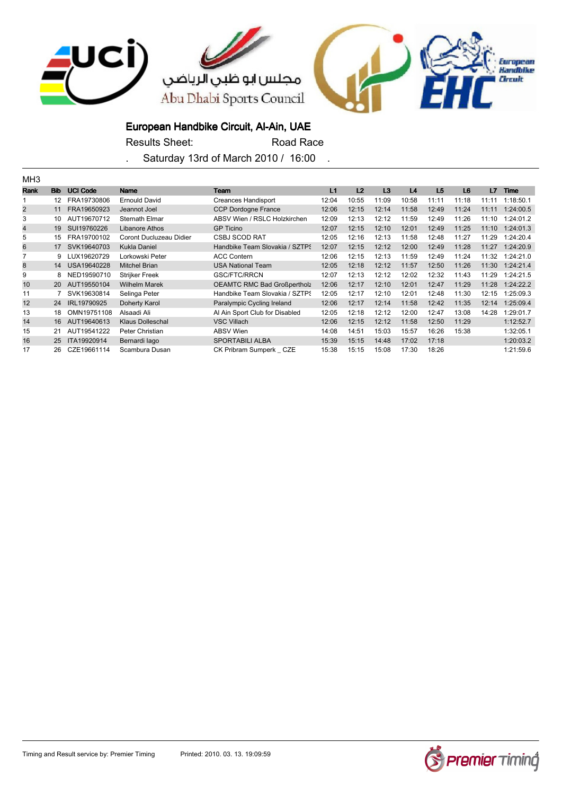

Results Sheet: Road Race

| MH3  |                   |                 |                         |                                    |       |                |       |       |                |                |       |           |
|------|-------------------|-----------------|-------------------------|------------------------------------|-------|----------------|-------|-------|----------------|----------------|-------|-----------|
| Rank | <b>Bib</b>        | <b>UCI Code</b> | <b>Name</b>             | Team                               | L1    | L <sub>2</sub> | L3    | L4    | L <sub>5</sub> | L <sub>6</sub> | L7    | Time      |
|      | $12 \overline{ }$ | FRA19730806     | <b>Ernould David</b>    | Creances Handisport                | 12:04 | 10:55          | 11:09 | 10:58 | 11:11          | 11:18          | 11:11 | 1:18:50.1 |
| 2    | 11                | FRA19650923     | Jeannot Joel            | <b>CCP Dordogne France</b>         | 12:06 | 12:15          | 12:14 | 11:58 | 12:49          | 11:24          | 11:11 | 1:24:00.5 |
| 3    | 10                | AUT19670712     | Sternath Elmar          | ABSV Wien / RSLC Holzkirchen       | 12:09 | 12:13          | 12:12 | 11:59 | 12:49          | 11:26          | 11:10 | 1:24:01.2 |
| 4    | 19                | SUI19760226     | Libanore Athos          | <b>GP Ticino</b>                   | 12:07 | 12:15          | 12:10 | 12:01 | 12:49          | 11:25          | 11:10 | 1:24:01.3 |
| 5    | 15                | FRA19700102     | Coront Ducluzeau Didier | <b>CSBJ SCOD RAT</b>               | 12:05 | 12:16          | 12:13 | 11:58 | 12:48          | 11:27          | 11:29 | 1:24:20.4 |
| 6    | 17                | SVK19640703     | <b>Kukla Daniel</b>     | Handbike Team Slovakia / SZTPS     | 12:07 | 12:15          | 12:12 | 12:00 | 12:49          | 11:28          | 11:27 | 1:24:20.9 |
|      | 9                 | LUX19620729     | Lorkowski Peter         | <b>ACC Contern</b>                 | 12:06 | 12:15          | 12:13 | 11:59 | 12:49          | 11:24          | 11:32 | 1:24:21.0 |
| 8    | 14                | USA19640228     | <b>Mitchel Brian</b>    | <b>USA National Team</b>           | 12:05 | 12:18          | 12:12 | 11:57 | 12:50          | 11:26          | 11:30 | 1:24:21.4 |
| 9    | 8                 | NED19590710     | <b>Strijker Freek</b>   | GSC/FTC/RRCN                       | 12:07 | 12:13          | 12:12 | 12:02 | 12:32          | 11:43          | 11:29 | 1:24:21.5 |
| 10   | <b>20</b>         | AUT19550104     | <b>Wilhelm Marek</b>    | <b>OEAMTC RMC Bad Großpertholz</b> | 12:06 | 12:17          | 12:10 | 12:01 | 12:47          | 11:29          | 11:28 | 1:24:22.2 |
| 11   |                   | SVK19630814     | Selinga Peter           | Handbike Team Slovakia / SZTPS     | 12:05 | 12:17          | 12:10 | 12:01 | 12:48          | 11:30          | 12:15 | 1:25:09.3 |
| 12   | 24                | IRL19790925     | Doherty Karol           | Paralympic Cycling Ireland         | 12:06 | 12:17          | 12:14 | 11:58 | 12:42          | 11:35          | 12:14 | 1:25:09.4 |
| 13   | 18                | OMN19751108     | Alsaadi Ali             | Al Ain Sport Club for Disabled     | 12:05 | 12:18          | 12:12 | 12:00 | 12:47          | 13:08          | 14:28 | 1:29:01.7 |
| 14   | 16                | AUT19640613     | <b>Klaus Dolleschal</b> | <b>VSC Villach</b>                 | 12:06 | 12:15          | 12:12 | 11:58 | 12:50          | 11:29          |       | 1:12:52.7 |
| 15   | 21                | AUT19541222     | Peter Christian         | ABSV Wien                          | 14:08 | 14:51          | 15:03 | 15:57 | 16:26          | 15:38          |       | 1:32:05.1 |
| 16   | 25                | ITA19920914     | Bernardi lago           | <b>SPORTABILI ALBA</b>             | 15:39 | 15:15          | 14:48 | 17:02 | 17:18          |                |       | 1:20:03.2 |
| 17   | 26                | CZE19661114     | Scambura Dusan          | CK Pribram Sumperk CZE             | 15:38 | 15:15          | 15:08 | 17:30 | 18:26          |                |       | 1:21:59.6 |

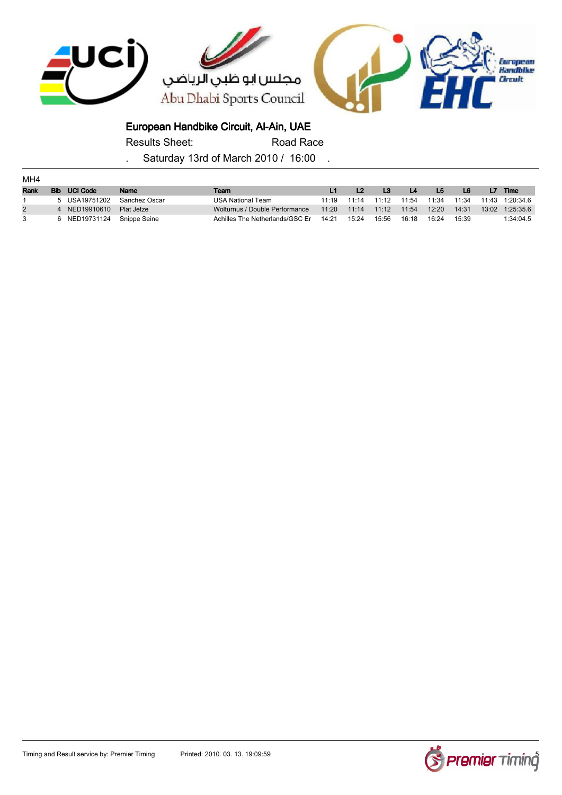

Results Sheet: Road Race

| MH4            |              |                            |               |                                 |       |       |                |                |       |       |       |             |
|----------------|--------------|----------------------------|---------------|---------------------------------|-------|-------|----------------|----------------|-------|-------|-------|-------------|
| <b>Rank</b>    | <b>Bib</b>   | <b>UCI Code</b>            | Name          | Team                            |       |       | L <sub>3</sub> | L <sub>4</sub> | L5    | L6    | L7    | <b>Time</b> |
|                |              | 5 USA19751202              | Sanchez Oscar | USA National Team               | 11:19 | 11:14 | 11:12          | 11:54          | 11:34 | 11:34 | 11:43 | 1:20:34.6   |
| $\overline{2}$ | $\mathbf{A}$ | NED19910610                | Plat Jetze    | Wolturnus / Double Performance  | 11:20 | 11:14 | 11:12          | 11:54          | 12:20 | 14:31 | 13:02 | 1:25:35.6   |
| 3              |              | 6 NED19731124 Snippe Seine |               | Achilles The Netherlands/GSC Er | 14:21 | 15:24 | 15:56          | 16:18          | 16:24 | 15:39 |       | 1:34:04.5   |

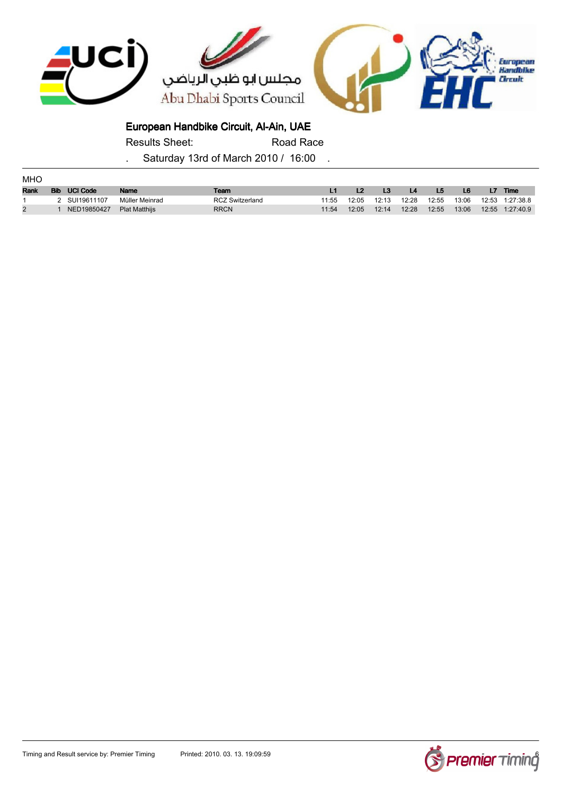

Results Sheet: Road Race

| <b>MHO</b>     |            |                 |                      |                        |       |       |       |       |                |       |    |                 |
|----------------|------------|-----------------|----------------------|------------------------|-------|-------|-------|-------|----------------|-------|----|-----------------|
| Rank           | <b>Bib</b> | <b>UCI Code</b> | Name                 | Team                   |       |       | L3    | /L4   | L <sub>5</sub> | L6    | L7 | <b>Time</b>     |
|                |            | SUI19611107     | Müller Meinrad       | <b>RCZ Switzerland</b> | 11:55 | 12:05 | 12:13 | 12:28 | 12:55          | 13:06 |    | 12:53 1:27:38.8 |
| $\overline{2}$ |            | NED19850427     | <b>Plat Matthiis</b> | <b>RRCN</b>            | 11:54 | 12:05 | 12:14 | 12:28 | 12:55          | 13:06 |    | 12:55 1:27:40.9 |

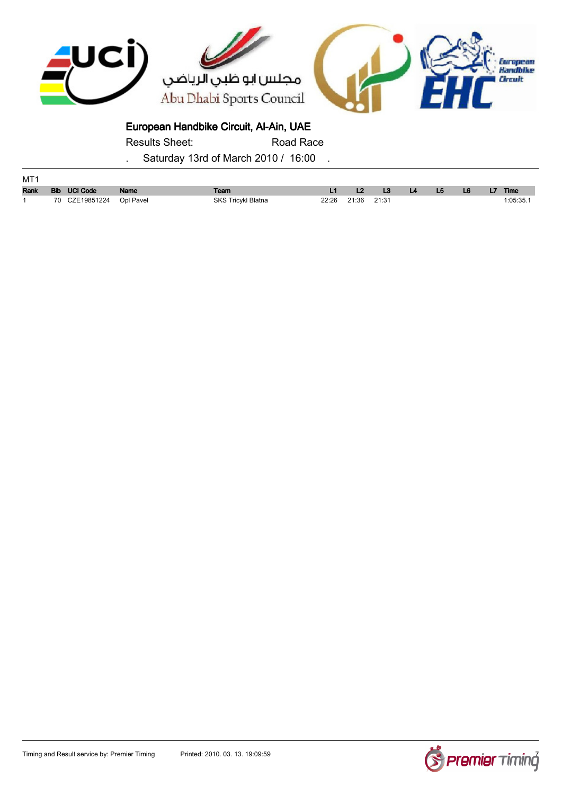

Results Sheet: Road Race

| MT1         |                |           |                           |                   |    |    |                |    |             |
|-------------|----------------|-----------|---------------------------|-------------------|----|----|----------------|----|-------------|
| <b>Rank</b> | Bib UCI Code   | Name      | Team                      |                   | L3 | L5 | L <sub>6</sub> | L7 | <b>Time</b> |
|             | 70 CZE19851224 | Opl Pavel | <b>SKS Tricykl Blatna</b> | 22:26 21:36 21:31 |    |    |                |    | 1:05:35.    |

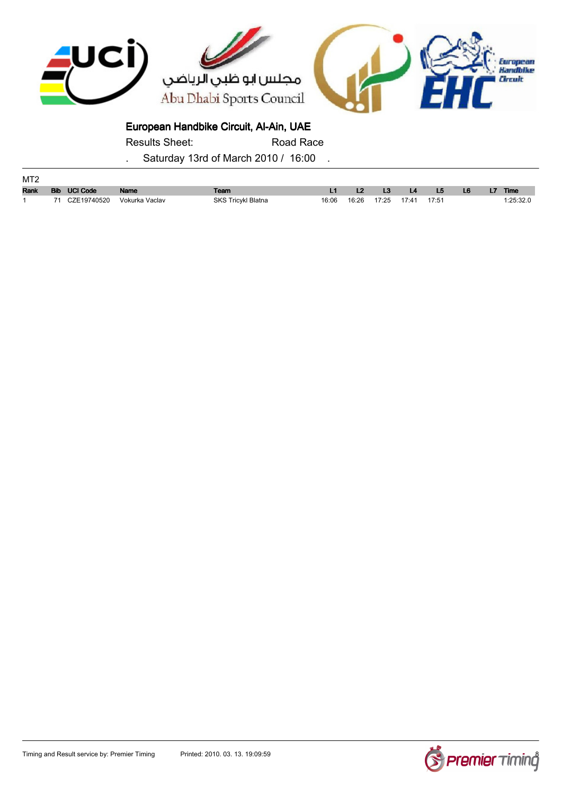

Results Sheet: Road Race

| MT2         |    |              |                |                           |       |                            |                  |           |    |                |    |           |
|-------------|----|--------------|----------------|---------------------------|-------|----------------------------|------------------|-----------|----|----------------|----|-----------|
| <b>Rank</b> |    | Bib UCI Code | Name           | Team                      |       |                            | $\sim$ L3 $\sim$ | <b>L4</b> | L5 | L <sub>6</sub> | L7 | Time      |
|             | 74 | CZE19740520  | Vokurka Vaclav | <b>SKS Tricykl Blatna</b> | 16:06 | 16:26  17:25  17:41  17:51 |                  |           |    |                |    | 1:25:32.0 |

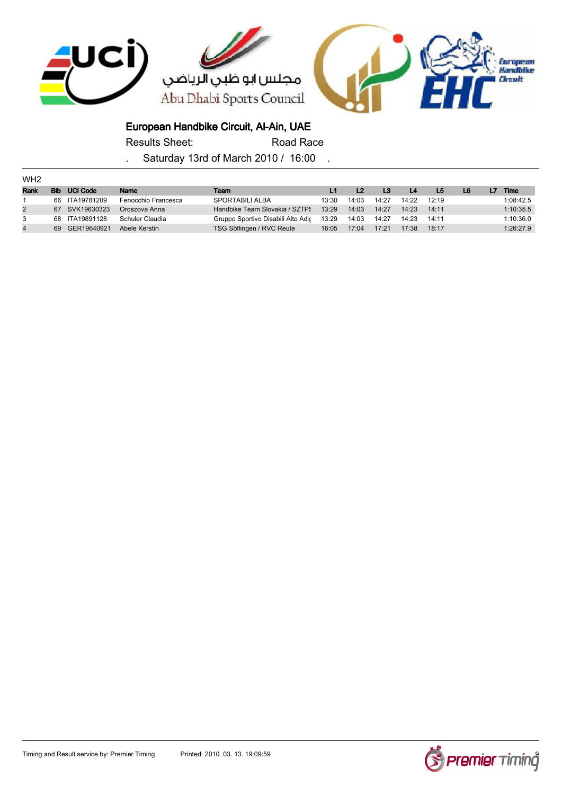

Results Sheet: Road Race

| WH <sub>2</sub> |            |                 |                     |                                    |       |       |       |       |       |    |    |             |
|-----------------|------------|-----------------|---------------------|------------------------------------|-------|-------|-------|-------|-------|----|----|-------------|
| Rank            | <b>Bib</b> | <b>UCI Code</b> | Name                | Team                               |       |       | L3    | L4    | L5    | L6 | L7 | <b>Time</b> |
|                 |            | 66 ITA19781209  | Fenocchio Francesca | <b>SPORTABILI ALBA</b>             | 13:30 | 14:03 | 14:27 | 14:22 | 12:19 |    |    | 1:08:42.5   |
| $\overline{2}$  |            | 67 SVK19630323  | Oroszova Anna       | Handbike Team Slovakia / SZTPS     | 13:29 | 14:03 | 14:27 | 14:23 | 14:11 |    |    | 1:10:35.5   |
| 3               |            | 68 ITA19891128  | Schuler Claudia     | Gruppo Sportivo Disabili Alto Adic | 13:29 | 14:03 | 14:27 | 14:23 | 14:11 |    |    | 1:10:36.0   |
| $\overline{4}$  |            | 69 GER19640921  | Abele Kerstin       | TSG Söflingen / RVC Reute          | 16:05 | 17:04 | 17:21 | 17:38 | 18:17 |    |    | 1:26:27.9   |

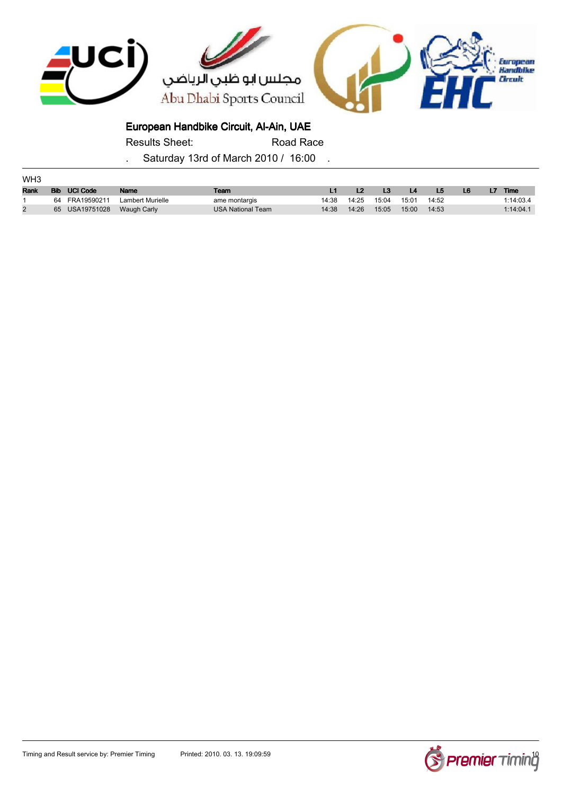

Results Sheet: Road Race

| WH <sub>3</sub> |            |                 |                  |                          |       |       |       |       |       |    |    |           |
|-----------------|------------|-----------------|------------------|--------------------------|-------|-------|-------|-------|-------|----|----|-----------|
| Rank            | <b>Bib</b> | <b>UCI Code</b> | Name             | Team                     |       |       |       | L4    | L5    | L6 | L7 | Time      |
|                 | 64         | FRA19590211     | Lambert Murielle | ame montargis            | 14:38 | 14:25 | 15:04 | 15:01 | 14:52 |    |    | 1:14:03.4 |
|                 | 65         | USA19751028     | Waugh Carly      | <b>USA National Team</b> | 14:38 | 14:26 | 15:05 | 15:00 | 14:53 |    |    | 1:14:04.1 |